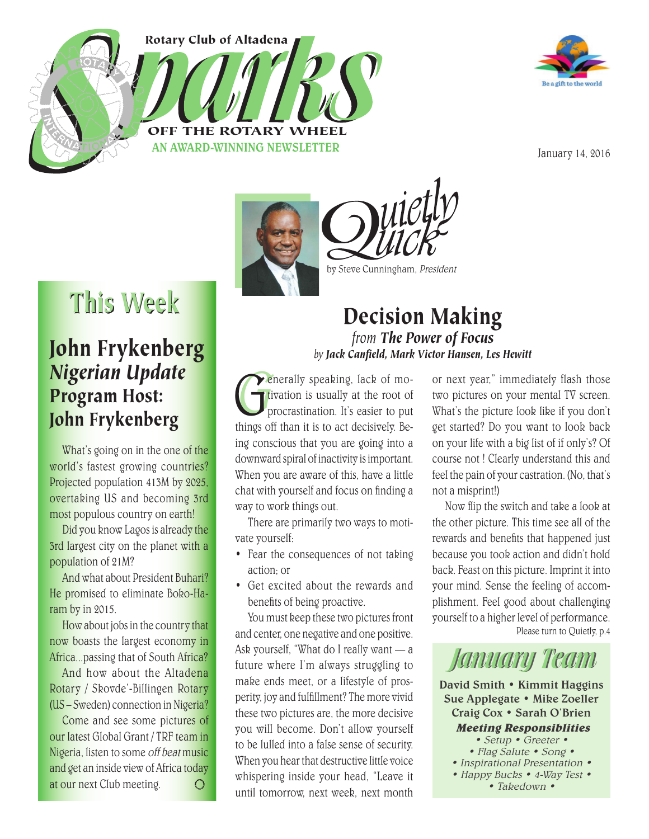Rotary Club of Altadena

OFF THE ROTARY WHEEL

AN AWARD-WINNING NEWSLETTER



January 14, 2016



by Steve Cunningham, President

uiet

# This Week

### John Frykenberg *Nigerian Update* Program Host: John Frykenberg

What's going on in the one of the world's fastest growing countries? Projected population 413M by 2025, overtaking US and becoming 3rd most populous country on earth!

Did you know Lagos is already the 3rd largest city on the planet with a population of 21M?

And what about President Buhari? He promised to eliminate Boko-Haram by in 2015.

How about jobs in the country that now boasts the largest economy in Africa...passing that of South Africa?

And how about the Altadena Rotary / Skovde'-Billingen Rotary (US – Sweden) connection in Nigeria?

Come and see some pictures of our latest Global Grant / TRF team in Nigeria, listen to some off beat music and get an inside view of Africa today at our next Club meeting. $\bigcirc$ 

#### Decision Making *from The Power of Focus* by Jack Canfield, Mark Victor Hansen, Les Hewitt

Tenerally speaking, fack of mo-<br>tivation is usually at the root of<br>procrastination. It's easier to put<br>things off than it is to act decisively. Beenerally speaking, lack of motivation is usually at the root of procrastination. It's easier to put ing conscious that you are going into a downward spiral of inactivity is important. When you are aware of this, have a little chat with yourself and focus on finding a way to work things out.

There are primarily two ways to motivate yourself:

- Fear the consequences of not taking action; or
- Get excited about the rewards and benefits of being proactive.

You must keep these two pictures front and center, one negative and one positive. Ask yourself, "What do I really want — a future where I'm always struggling to make ends meet, or a lifestyle of prosperity, joy and fulfillment? The more vivid these two pictures are, the more decisive you will become. Don't allow yourself to be lulled into a false sense of security. When you hear that destructive little voice whispering inside your head, "Leave it until tomorrow, next week, next month

or next year," immediately flash those two pictures on your mental TV screen. What's the picture look like if you don't get started? Do you want to look back on your life with a big list of if only's? Of course not ! Clearly understand this and feel the pain of your castration. (No, that's not a misprint!)

Please turn to Quietly, p.4 Now flip the switch and take a look at the other picture. This time see all of the rewards and benefits that happened just because you took action and didn't hold back. Feast on this picture. Imprint it into your mind. Sense the feeling of accomplishment. Feel good about challenging yourself to a higher level of performance.



David Smith • Kimmit Haggins Sue Applegate • Mike Zoeller Craig Cox • Sarah O'Brien **Meeting Responsiblities**

• Setup • Greeter • • Flag Salute • Song • • Inspirational Presentation • • Happy Bucks • 4-Way Test • • Takedown •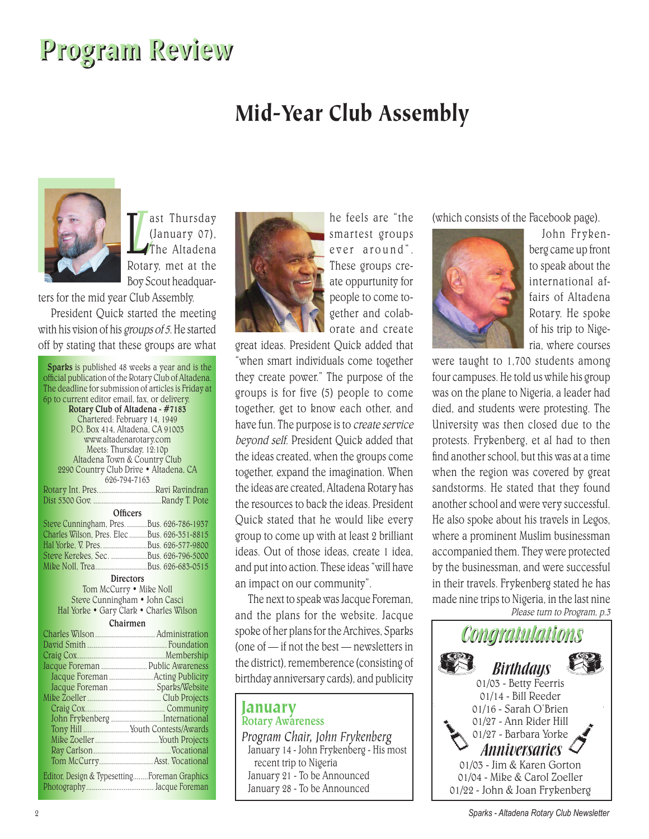# Program Review

## Mid-Year Club Assembly



ast Thursday<br>(January 07),<br>The Altadena  $L_f^d$  $(January 07)$ , The Altadena Rotary, met at the Boy Scout headquar-

ters for the mid year Club Assembly.

President Quick started the meeting with his vision of his groups of 5. He started off by stating that these groups are what

| <b>Sparks</b> is published 48 weeks a year and is the |  |
|-------------------------------------------------------|--|
| official publication of the Rotary Club of Altadena.  |  |
| The deadline for submission of articles is Friday at  |  |
| 6p to current editor email, fax, or delivery.         |  |
| Rotary Club of Altadena - #7183                       |  |
| Chartered: February 14, 1949                          |  |
| P.O. Box 414, Altadena, CA 91003                      |  |
| www.altadenarotary.com                                |  |
| Meets: Thursday, 12:10p                               |  |
| Altadena Town & Country Club                          |  |
| 2290 Country Club Drive · Altadena, CA                |  |
| 626-794-7163                                          |  |
| Rotary Int. PresRavi Ravindran                        |  |
|                                                       |  |
| Officers                                              |  |
| Steve Cunningham, Pres.  Bus. 626-786-1937            |  |
| Charles Wilson, Pres. Elec Bus. 626-351-8815          |  |
| Hal Yorke, V. Pres.  Bus. 626-577-9800                |  |
| Steve Kerekes, Sec. Bus. 626-796-5000                 |  |
| Mike Noll, TreaBus. 626-683-0515                      |  |
| <b>Directors</b>                                      |  |
| Tom McCurry . Mike Noll                               |  |
| Steve Cunningham · John Casci                         |  |
| Hal Yorke . Gary Clark . Charles Wilson               |  |
| Chairmen                                              |  |
|                                                       |  |
|                                                       |  |
|                                                       |  |
| Jacque Foreman  Public Awareness                      |  |
| Jacque Foreman Acting Publicity                       |  |
| Jacque Foreman  Sparks/Website                        |  |
|                                                       |  |
|                                                       |  |
|                                                       |  |
| John Frykenberg International                         |  |
| Tony Hill  Youth Contests/Awards                      |  |
|                                                       |  |
| Tom McCurryAsst. Vocational                           |  |
|                                                       |  |
| Editor, Design & Typesetting Foreman Graphics         |  |
|                                                       |  |
|                                                       |  |



smartest groups ever around". These groups create oppurtunity for people to come together and colaborate and create

great ideas. President Quick added that "when smart individuals come together they create power." The purpose of the groups is for five (5) people to come together, get to know each other, and have fun. The purpose is to create service beyond self. President Quick added that the ideas created, when the groups come together, expand the imagination. When the ideas are created, Altadena Rotary has the resources to back the ideas. President Quick stated that he would like every group to come up with at least 2 brilliant ideas. Out of those ideas, create 1 idea, and put into action. These ideas "will have an impact on our community".

The next to speak was Jacque Foreman, and the plans for the website. Jacque spoke of her plans for the Archives, Sparks (one of — if not the best — newsletters in the district), rememberence (consisting of birthday anniversary cards), and publicity

| January<br>Rotary Awareness             |
|-----------------------------------------|
| Program Chair, John Frykenberg          |
| January 14 - John Frykenberg - His most |
| recent trip to Nigeria                  |
| January 21 - To be Announced            |
| January 28 - To be Announced            |

(which consists of the Facebook page).



John Fr ykenberg came up front to speak about the international affairs of Altadena Rotary. He spoke of his trip to Nigeria, where courses

Please turn to Program, p.3 were taught to 1,700 students among four campuses. He told us while his group was on the plane to Nigeria, a leader had died, and students were protesting. The University was then closed due to the protests. Frykenberg, et al had to then find another school, but this was at a time when the region was covered by great sandstorms. He stated that they found another school and were very successful. He also spoke about his travels in Legos, where a prominent Muslim businessman accompanied them. They were protected by the businessman, and were successful in their travels. Frykenberg stated he has made nine trips to Nigeria, in the last nine

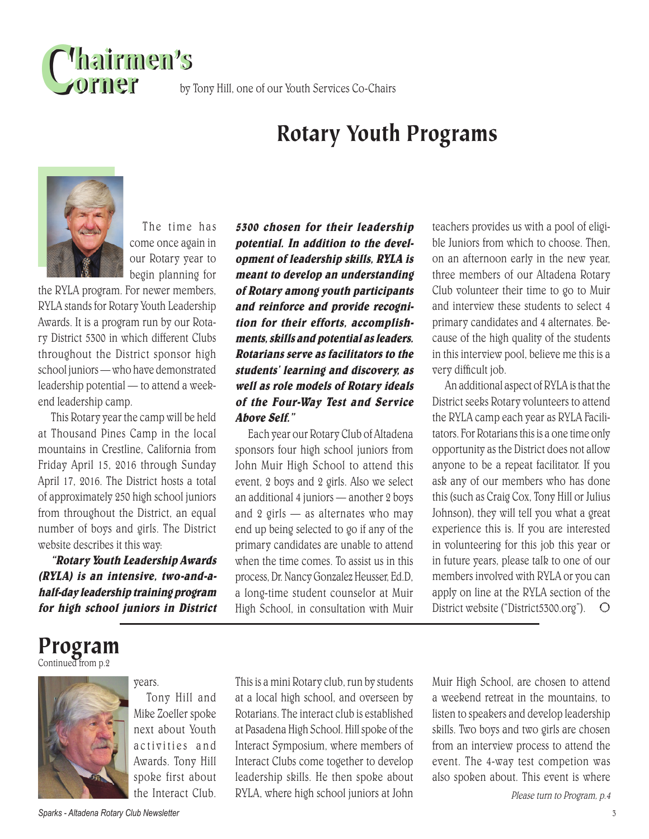

by Tony Hill, one of our Youth Services Co-Chairs

### Rotary Youth Programs



The time has come once again in our Rotary year to begin planning for

the RYLA program. For newer members, RYLA stands for Rotary Youth Leadership Awards. It is a program run by our Rotary District 5300 in which different Clubs throughout the District sponsor high school juniors — who have demonstrated leadership potential — to attend a weekend leadership camp.

This Rotary year the camp will be held at Thousand Pines Camp in the local mountains in Crestline, California from Friday April 15, 2016 through Sunday April 17, 2016. The District hosts a total of approximately 250 high school juniors from throughout the District, an equal number of boys and girls. The District website describes it this way:

**"Rotary Youth Leadership Awards (RYLA) is an intensive, two-and-ahalf-day leadership training program for high school juniors in District** 

**5300 chosen for their leadership potential. In addition to the development of leadership skills, RYLA is meant to develop an understanding of Rotary among youth participants and reinforce and provide recognition for their efforts, accomplishments, skills and potential as leaders. Rotarians serve as facilitators to the students' learning and discovery, as well as role models of Rotary ideals of the Four-Way Test and Service Above Self."**

Each year our Rotary Club of Altadena sponsors four high school juniors from John Muir High School to attend this event, 2 boys and 2 girls. Also we select an additional 4 juniors — another 2 boys and 2 girls — as alternates who may end up being selected to go if any of the primary candidates are unable to attend when the time comes. To assist us in this process, Dr. Nancy Gonzalez Heusser, Ed.D, a long-time student counselor at Muir High School, in consultation with Muir teachers provides us with a pool of eligible Juniors from which to choose. Then, on an afternoon early in the new year, three members of our Altadena Rotary Club volunteer their time to go to Muir and interview these students to select 4 primary candidates and 4 alternates. Because of the high quality of the students in this interview pool, believe me this is a very difficult job.

An additional aspect of RYLA is that the District seeks Rotary volunteers to attend the RYLA camp each year as RYLA Facilitators. For Rotarians this is a one time only opportunity as the District does not allow anyone to be a repeat facilitator. If you ask any of our members who has done this (such as Craig Cox, Tony Hill or Julius Johnson), they will tell you what a great experience this is. If you are interested in volunteering for this job this year or in future years, please talk to one of our members involved with RYLA or you can apply on line at the RYLA section of the District website ("District5300.org").  $\bigcirc$ 

# Program

Continued from p.2



#### Tony Hill and

years.

Mike Zoeller spoke next about Youth activities and Awards. Tony Hill spoke first about the Interact Club.

This is a mini Rotary club, run by students at a local high school, and overseen by Rotarians. The interact club is established at Pasadena High School. Hill spoke of the Interact Symposium, where members of Interact Clubs come together to develop leadership skills. He then spoke about RYLA, where high school juniors at John Muir High School, are chosen to attend a weekend retreat in the mountains, to listen to speakers and develop leadership skills. Two boys and two girls are chosen from an interview process to attend the event. The 4-way test competion was also spoken about. This event is where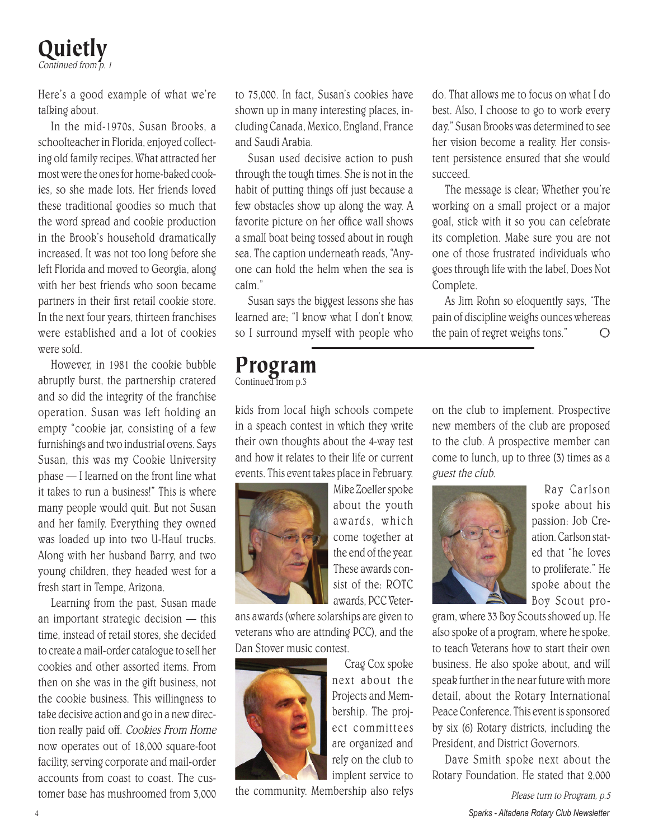Quietly Continued from p. 1

Here's a good example of what we're talking about.

In the mid-1970s, Susan Brooks, a schoolteacher in Florida, enjoyed collecting old family recipes. What attracted her most were the ones for home-baked cookies, so she made lots. Her friends loved these traditional goodies so much that the word spread and cookie production in the Brook's household dramatically increased. It was not too long before she left Florida and moved to Georgia, along with her best friends who soon became partners in their first retail cookie store. In the next four years, thirteen franchises were established and a lot of cookies were sold.

However, in 1981 the cookie bubble abruptly burst, the partnership cratered and so did the integrity of the franchise operation. Susan was left holding an empty "cookie jar, consisting of a few furnishings and two industrial ovens. Says Susan, this was my Cookie University phase — I learned on the front line what it takes to run a business!" This is where many people would quit. But not Susan and her family. Everything they owned was loaded up into two U-Haul trucks. Along with her husband Barry, and two young children, they headed west for a fresh start in Tempe, Arizona.

Learning from the past, Susan made an important strategic decision — this time, instead of retail stores, she decided to create a mail-order catalogue to sell her cookies and other assorted items. From then on she was in the gift business, not the cookie business. This willingness to take decisive action and go in a new direction really paid off. Cookies From Home now operates out of 18,000 square-foot facility, serving corporate and mail-order accounts from coast to coast. The customer base has mushroomed from 3,000

to 75,000. In fact, Susan's cookies have shown up in many interesting places, including Canada, Mexico, England, France and Saudi Arabia.

Susan used decisive action to push through the tough times. She is not in the habit of putting things off just because a few obstacles show up along the way. A favorite picture on her office wall shows a small boat being tossed about in rough sea. The caption underneath reads, "Anyone can hold the helm when the sea is calm."

Susan says the biggest lessons she has learned are; "I know what I don't know, so I surround myself with people who

#### Program Continued from p.3

kids from local high schools compete in a speach contest in which they write their own thoughts about the 4-way test and how it relates to their life or current events. This event takes place in February.



Mike Zoeller spoke about the youth awards, which come together at the end of the year. These awards consist of the: ROTC awards, PCC Veter-

ans awards (where solarships are given to veterans who are attnding PCC), and the Dan Stover music contest.



Crag Cox spoke next about the Projects and Membership. The project committees are organized and rely on the club to implent service to

the community. Membership also relys

do. That allows me to focus on what I do best. Also, I choose to go to work every day." Susan Brooks was determined to see her vision become a reality. Her consistent persistence ensured that she would succeed.

The message is clear; Whether you're working on a small project or a major goal, stick with it so you can celebrate its completion. Make sure you are not one of those frustrated individuals who goes through life with the label, Does Not Complete.

As Jim Rohn so eloquently says, "The pain of discipline weighs ounces whereas the pain of regret weighs tons."  $\bigcirc$ 

on the club to implement. Prospective new members of the club are proposed to the club. A prospective member can come to lunch, up to three (3) times as a guest the club.



Ray Carlson spoke about his passion: Job Creation. Carlson stated that "he loves to proliferate." He spoke about the Boy Scout pro-

gram, where 33 Boy Scouts showed up. He also spoke of a program, where he spoke, to teach Veterans how to start their own business. He also spoke about, and will speak further in the near future with more detail, about the Rotary International Peace Conference. This event is sponsored by six (6) Rotary districts, including the President, and District Governors.

Dave Smith spoke next about the Rotary Foundation. He stated that 2,000